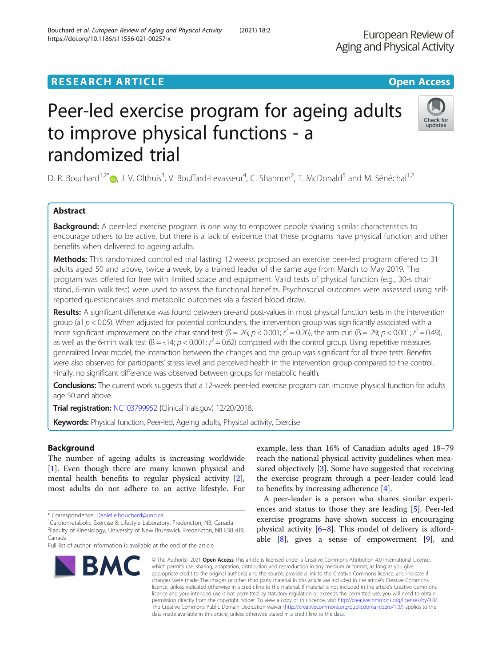## **RESEARCH ARTICLE Example 2018 12:30 THE OPEN ACCESS**

# Peer-led exercise program for ageing adults to improve physical functions - a randomized trial

D. R. Bouchard<sup>1[,](http://orcid.org/0000-0001-5510-7786)2\*</sup> D, J. V. Olthuis<sup>3</sup>, V. Bouffard-Levasseur<sup>4</sup>, C. Shannon<sup>2</sup>, T. McDonald<sup>5</sup> and M. Sénéchal<sup>1,2</sup>

## Abstract

**Background:** A peer-led exercise program is one way to empower people sharing similar characteristics to encourage others to be active, but there is a lack of evidence that these programs have physical function and other benefits when delivered to ageing adults.

Methods: This randomized controlled trial lasting 12 weeks proposed an exercise peer-led program offered to 31 adults aged 50 and above, twice a week, by a trained leader of the same age from March to May 2019. The program was offered for free with limited space and equipment. Valid tests of physical function (e.g., 30-s chair stand, 6-min walk test) were used to assess the functional benefits. Psychosocial outcomes were assessed using selfreported questionnaires and metabolic outcomes via a fasted blood draw.

Results: A significant difference was found between pre-and post-values in most physical function tests in the intervention group (all  $p < 0.05$ ). When adjusted for potential confounders, the intervention group was significantly associated with a more significant improvement on the chair stand test ( $B = 0.26$ ;  $p < 0.001$ ;  $r^2 = 0.26$ ), the arm curl ( $B = 0.29$ ;  $p < 0.001$ ;  $r^2 = 0.49$ ) as well as the 6-min walk test ( $\beta$  = -.14;  $p$  < 0.001;  $r^2$  = 0.62) compared with the control group. Using repetitive measures generalized linear model, the interaction between the changes and the group was significant for all three tests. Benefits were also observed for participants' stress level and perceived health in the intervention group compared to the control. Finally, no significant difference was observed between groups for metabolic health.

Conclusions: The current work suggests that a 12-week peer-led exercise program can improve physical function for adults age 50 and above.

Trial registration: [NCT03799952](https://clinicaltrials.gov/ct2/show/NCT03799952) (ClinicalTrials.gov) 12/20/2018.

Keywords: Physical function, Peer-led, Ageing adults, Physical activity, Exercise

## Background

The number of ageing adults is increasing worldwide [[1\]](#page-6-0). Even though there are many known physical and mental health benefits to regular physical activity [\[2](#page-6-0)], most adults do not adhere to an active lifestyle. For

**BMC** 

example, less than 16% of Canadian adults aged 18–79 reach the national physical activity guidelines when mea-sured objectively [[3](#page-6-0)]. Some have suggested that receiving the exercise program through a peer-leader could lead to benefits by increasing adherence [[4\]](#page-6-0).

A peer-leader is a person who shares similar experiences and status to those they are leading [[5](#page-6-0)]. Peer-led exercise programs have shown success in encouraging physical activity [\[6](#page-7-0)–[8\]](#page-7-0). This model of delivery is affordable  $[8]$  $[8]$ , gives a sense of empowerment  $[9]$  $[9]$  $[9]$ , and

European Review of

Aging and Physical Activity

which permits use, sharing, adaptation, distribution and reproduction in any medium or format, as long as you give appropriate credit to the original author(s) and the source, provide a link to the Creative Commons licence, and indicate if changes were made. The images or other third party material in this article are included in the article's Creative Commons licence, unless indicated otherwise in a credit line to the material. If material is not included in the article's Creative Commons licence and your intended use is not permitted by statutory regulation or exceeds the permitted use, you will need to obtain permission directly from the copyright holder. To view a copy of this licence, visit [http://creativecommons.org/licenses/by/4.0/.](http://creativecommons.org/licenses/by/4.0/) The Creative Commons Public Domain Dedication waiver [\(http://creativecommons.org/publicdomain/zero/1.0/](http://creativecommons.org/publicdomain/zero/1.0/)) applies to the data made available in this article, unless otherwise stated in a credit line to the data.

© The Author(s), 2021 **Open Access** This article is licensed under a Creative Commons Attribution 4.0 International License,



<sup>\*</sup> Correspondence: [Danielle.bouchard@unb.ca](mailto:Danielle.bouchard@unb.ca)<br><sup>1</sup>Cardiometabolic Exercise & Lifestyle Laboratory, Fredericton, NB, Canada

<sup>&</sup>lt;sup>2</sup> Faculty of Kinesiology, University of New Brunswick, Fredericton, NB E3B 4J9, Canada

Full list of author information is available at the end of the article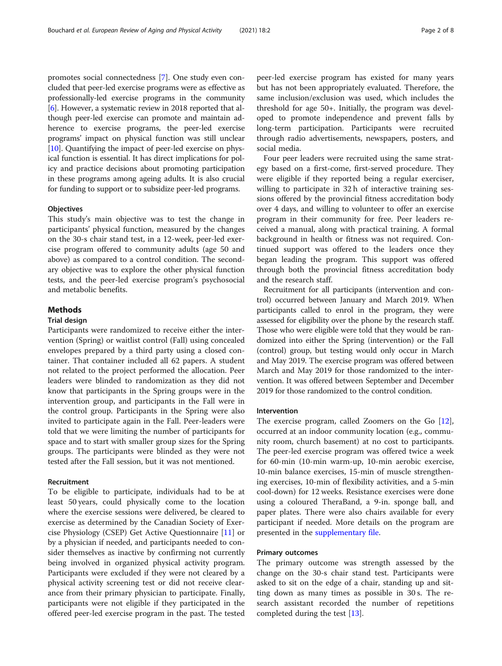promotes social connectedness [[7](#page-7-0)]. One study even concluded that peer-led exercise programs were as effective as professionally-led exercise programs in the community [[6\]](#page-7-0). However, a systematic review in 2018 reported that although peer-led exercise can promote and maintain adherence to exercise programs, the peer-led exercise programs' impact on physical function was still unclear [[10](#page-7-0)]. Quantifying the impact of peer-led exercise on physical function is essential. It has direct implications for policy and practice decisions about promoting participation in these programs among ageing adults. It is also crucial for funding to support or to subsidize peer-led programs.

## **Objectives**

This study's main objective was to test the change in participants' physical function, measured by the changes on the 30-s chair stand test, in a 12-week, peer-led exercise program offered to community adults (age 50 and above) as compared to a control condition. The secondary objective was to explore the other physical function tests, and the peer-led exercise program's psychosocial and metabolic benefits.

## **Methods**

## Trial design

Participants were randomized to receive either the intervention (Spring) or waitlist control (Fall) using concealed envelopes prepared by a third party using a closed container. That container included all 62 papers. A student not related to the project performed the allocation. Peer leaders were blinded to randomization as they did not know that participants in the Spring groups were in the intervention group, and participants in the Fall were in the control group. Participants in the Spring were also invited to participate again in the Fall. Peer-leaders were told that we were limiting the number of participants for space and to start with smaller group sizes for the Spring groups. The participants were blinded as they were not tested after the Fall session, but it was not mentioned.

## Recruitment

To be eligible to participate, individuals had to be at least 50 years, could physically come to the location where the exercise sessions were delivered, be cleared to exercise as determined by the Canadian Society of Exercise Physiology (CSEP) Get Active Questionnaire [[11](#page-7-0)] or by a physician if needed, and participants needed to consider themselves as inactive by confirming not currently being involved in organized physical activity program. Participants were excluded if they were not cleared by a physical activity screening test or did not receive clearance from their primary physician to participate. Finally, participants were not eligible if they participated in the offered peer-led exercise program in the past. The tested peer-led exercise program has existed for many years but has not been appropriately evaluated. Therefore, the same inclusion/exclusion was used, which includes the threshold for age 50+. Initially, the program was developed to promote independence and prevent falls by long-term participation. Participants were recruited through radio advertisements, newspapers, posters, and social media.

Four peer leaders were recruited using the same strategy based on a first-come, first-served procedure. They were eligible if they reported being a regular exerciser, willing to participate in 32 h of interactive training sessions offered by the provincial fitness accreditation body over 4 days, and willing to volunteer to offer an exercise program in their community for free. Peer leaders received a manual, along with practical training. A formal background in health or fitness was not required. Continued support was offered to the leaders once they began leading the program. This support was offered through both the provincial fitness accreditation body and the research staff.

Recruitment for all participants (intervention and control) occurred between January and March 2019. When participants called to enrol in the program, they were assessed for eligibility over the phone by the research staff. Those who were eligible were told that they would be randomized into either the Spring (intervention) or the Fall (control) group, but testing would only occur in March and May 2019. The exercise program was offered between March and May 2019 for those randomized to the intervention. It was offered between September and December 2019 for those randomized to the control condition.

## Intervention

The exercise program, called Zoomers on the Go [\[12](#page-7-0)], occurred at an indoor community location (e.g., community room, church basement) at no cost to participants. The peer-led exercise program was offered twice a week for 60-min (10-min warm-up, 10-min aerobic exercise, 10-min balance exercises, 15-min of muscle strengthening exercises, 10-min of flexibility activities, and a 5-min cool-down) for 12 weeks. Resistance exercises were done using a coloured TheraBand, a 9-in. sponge ball, and paper plates. There were also chairs available for every participant if needed. More details on the program are presented in the [supplementary file.](#page-6-0)

## Primary outcomes

The primary outcome was strength assessed by the change on the 30-s chair stand test. Participants were asked to sit on the edge of a chair, standing up and sitting down as many times as possible in 30 s. The research assistant recorded the number of repetitions completed during the test [[13](#page-7-0)].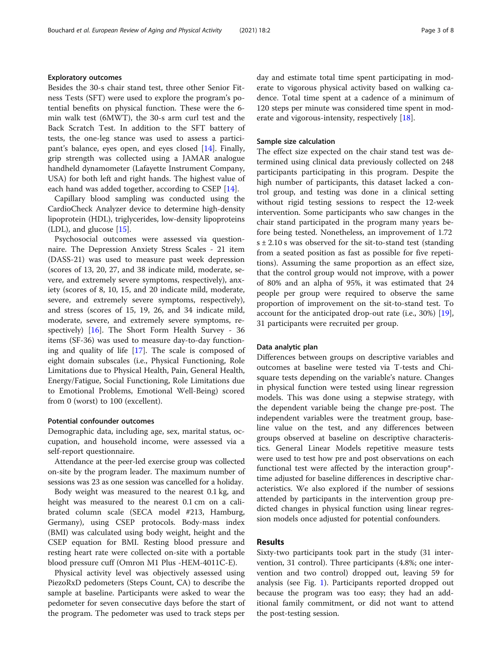Besides the 30-s chair stand test, three other Senior Fitness Tests (SFT) were used to explore the program's potential benefits on physical function. These were the 6 min walk test (6MWT), the 30-s arm curl test and the Back Scratch Test. In addition to the SFT battery of tests, the one-leg stance was used to assess a participant's balance, eyes open, and eyes closed [\[14\]](#page-7-0). Finally, grip strength was collected using a JAMAR analogue handheld dynamometer (Lafayette Instrument Company, USA) for both left and right hands. The highest value of each hand was added together, according to CSEP [[14](#page-7-0)].

Capillary blood sampling was conducted using the CardioCheck Analyzer device to determine high-density lipoprotein (HDL), triglycerides, low-density lipoproteins (LDL), and glucose [[15](#page-7-0)].

Psychosocial outcomes were assessed via questionnaire. The Depression Anxiety Stress Scales - 21 item (DASS-21) was used to measure past week depression (scores of 13, 20, 27, and 38 indicate mild, moderate, severe, and extremely severe symptoms, respectively), anxiety (scores of 8, 10, 15, and 20 indicate mild, moderate, severe, and extremely severe symptoms, respectively), and stress (scores of 15, 19, 26, and 34 indicate mild, moderate, severe, and extremely severe symptoms, respectively)  $[16]$  $[16]$ . The Short Form Health Survey - 36 items (SF-36) was used to measure day-to-day functioning and quality of life [[17\]](#page-7-0). The scale is composed of eight domain subscales (i.e., Physical Functioning, Role Limitations due to Physical Health, Pain, General Health, Energy/Fatigue, Social Functioning, Role Limitations due to Emotional Problems, Emotional Well-Being) scored from 0 (worst) to 100 (excellent).

## Potential confounder outcomes

Demographic data, including age, sex, marital status, occupation, and household income, were assessed via a self-report questionnaire.

Attendance at the peer-led exercise group was collected on-site by the program leader. The maximum number of sessions was 23 as one session was cancelled for a holiday.

Body weight was measured to the nearest 0.1 kg, and height was measured to the nearest 0.1 cm on a calibrated column scale (SECA model #213, Hamburg, Germany), using CSEP protocols. Body-mass index (BMI) was calculated using body weight, height and the CSEP equation for BMI. Resting blood pressure and resting heart rate were collected on-site with a portable blood pressure cuff (Omron M1 Plus -HEM-4011C-E).

Physical activity level was objectively assessed using PiezoRxD pedometers (Steps Count, CA) to describe the sample at baseline. Participants were asked to wear the pedometer for seven consecutive days before the start of the program. The pedometer was used to track steps per day and estimate total time spent participating in moderate to vigorous physical activity based on walking cadence. Total time spent at a cadence of a minimum of 120 steps per minute was considered time spent in moderate and vigorous-intensity, respectively [[18](#page-7-0)].

## Sample size calculation

The effect size expected on the chair stand test was determined using clinical data previously collected on 248 participants participating in this program. Despite the high number of participants, this dataset lacked a control group, and testing was done in a clinical setting without rigid testing sessions to respect the 12-week intervention. Some participants who saw changes in the chair stand participated in the program many years before being tested. Nonetheless, an improvement of 1.72  $s \pm 2.10$  s was observed for the sit-to-stand test (standing from a seated position as fast as possible for five repetitions). Assuming the same proportion as an effect size, that the control group would not improve, with a power of 80% and an alpha of 95%, it was estimated that 24 people per group were required to observe the same proportion of improvement on the sit-to-stand test. To account for the anticipated drop-out rate (i.e., 30%) [\[19](#page-7-0)], 31 participants were recruited per group.

## Data analytic plan

Differences between groups on descriptive variables and outcomes at baseline were tested via T-tests and Chisquare tests depending on the variable's nature. Changes in physical function were tested using linear regression models. This was done using a stepwise strategy, with the dependent variable being the change pre-post. The independent variables were the treatment group, baseline value on the test, and any differences between groups observed at baseline on descriptive characteristics. General Linear Models repetitive measure tests were used to test how pre and post observations on each functional test were affected by the interaction group\* time adjusted for baseline differences in descriptive characteristics. We also explored if the number of sessions attended by participants in the intervention group predicted changes in physical function using linear regression models once adjusted for potential confounders.

## Results

Sixty-two participants took part in the study (31 intervention, 31 control). Three participants (4.8%; one intervention and two control) dropped out, leaving 59 for analysis (see Fig. [1\)](#page-3-0). Participants reported dropped out because the program was too easy; they had an additional family commitment, or did not want to attend the post-testing session.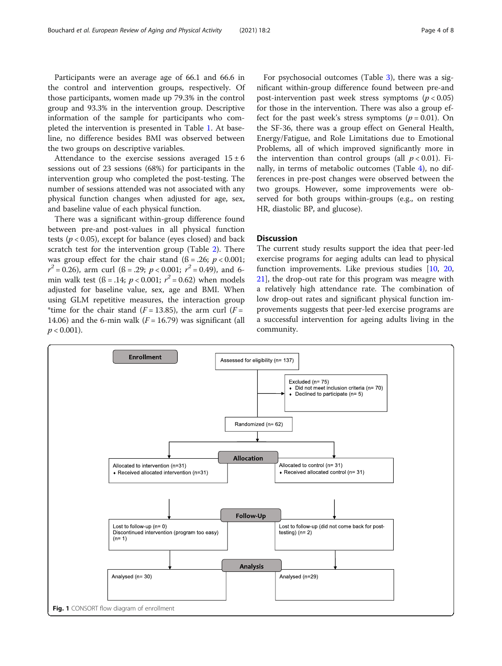<span id="page-3-0"></span>Participants were an average age of 66.1 and 66.6 in the control and intervention groups, respectively. Of those participants, women made up 79.3% in the control group and 93.3% in the intervention group. Descriptive information of the sample for participants who completed the intervention is presented in Table [1](#page-4-0). At baseline, no difference besides BMI was observed between the two groups on descriptive variables.

Attendance to the exercise sessions averaged  $15 \pm 6$ sessions out of 23 sessions (68%) for participants in the intervention group who completed the post-testing. The number of sessions attended was not associated with any physical function changes when adjusted for age, sex, and baseline value of each physical function.

There was a significant within-group difference found between pre-and post-values in all physical function tests ( $p < 0.05$ ), except for balance (eyes closed) and back scratch test for the intervention group (Table [2\)](#page-4-0). There was group effect for the chair stand  $(6 = .26; p < 0.001;$  $r^2 = 0.26$ , arm curl ( $\beta = .29$ ;  $p < 0.001$ ;  $r^2 = 0.49$ ), and 6min walk test ( $\beta = .14$ ;  $p < 0.001$ ;  $r^2 = 0.62$ ) when models adjusted for baseline value, sex, age and BMI. When using GLM repetitive measures, the interaction group \*time for the chair stand ( $F = 13.85$ ), the arm curl ( $F =$ 14.06) and the 6-min walk  $(F = 16.79)$  was significant (all  $p < 0.001$ ).

For psychosocial outcomes (Table [3](#page-5-0)), there was a significant within-group difference found between pre-and post-intervention past week stress symptoms ( $p < 0.05$ ) for those in the intervention. There was also a group effect for the past week's stress symptoms ( $p = 0.01$ ). On the SF-36, there was a group effect on General Health, Energy/Fatigue, and Role Limitations due to Emotional Problems, all of which improved significantly more in the intervention than control groups (all  $p < 0.01$ ). Finally, in terms of metabolic outcomes (Table [4](#page-5-0)), no differences in pre-post changes were observed between the two groups. However, some improvements were observed for both groups within-groups (e.g., on resting HR, diastolic BP, and glucose).

## Discussion

The current study results support the idea that peer-led exercise programs for aeging adults can lead to physical function improvements. Like previous studies [\[10](#page-7-0), [20](#page-7-0), [21\]](#page-7-0), the drop-out rate for this program was meagre with a relatively high attendance rate. The combination of low drop-out rates and significant physical function improvements suggests that peer-led exercise programs are a successful intervention for ageing adults living in the community.

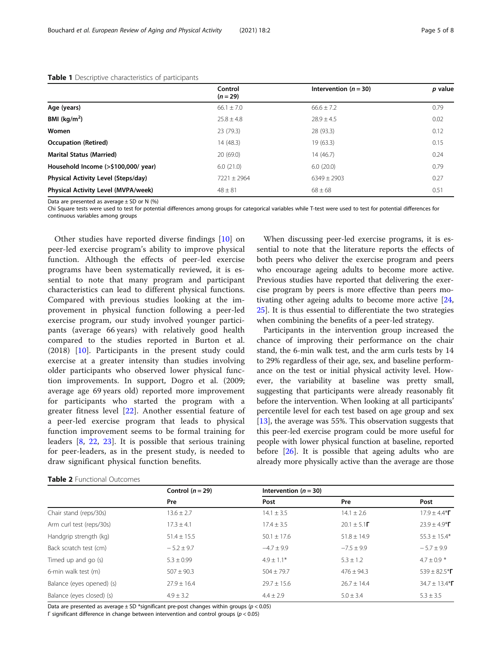|                                     | Control<br>$(n = 29)$ | Intervention ( $n = 30$ ) | p value |
|-------------------------------------|-----------------------|---------------------------|---------|
| Age (years)                         | $66.1 \pm 7.0$        | $66.6 + 7.2$              | 0.79    |
| BMI $(kq/m2)$                       | $25.8 \pm 4.8$        | $78.9 + 4.5$              | 0.02    |
| Women                               | 23(79.3)              | 28 (93.3)                 | 0.12    |
| <b>Occupation (Retired)</b>         | 14 (48.3)             | 19(63.3)                  | 0.15    |
| <b>Marital Status (Married)</b>     | 20(69.0)              | 14(46.7)                  | 0.24    |
| Household Income (>\$100,000/ year) | 6.0(21.0)             | 6.0(20.0)                 | 0.79    |
| Physical Activity Level (Steps/day) | $7221 \pm 2964$       | $6349 + 2903$             | 0.27    |
| Physical Activity Level (MVPA/week) | $48 \pm 81$           | $68 \pm 68$               | 0.51    |

## <span id="page-4-0"></span>Table 1 Descriptive characteristics of participants

Data are presented as average  $\pm$  SD or N (%)

Chi Square tests were used to test for potential differences among groups for categorical variables while T-test were used to test for potential differences for continuous variables among groups

Other studies have reported diverse findings [[10\]](#page-7-0) on peer-led exercise program's ability to improve physical function. Although the effects of peer-led exercise programs have been systematically reviewed, it is essential to note that many program and participant characteristics can lead to different physical functions. Compared with previous studies looking at the improvement in physical function following a peer-led exercise program, our study involved younger participants (average 66 years) with relatively good health compared to the studies reported in Burton et al. (2018) [\[10](#page-7-0)]. Participants in the present study could exercise at a greater intensity than studies involving older participants who observed lower physical function improvements. In support, Dogro et al. (2009; average age 69 years old) reported more improvement for participants who started the program with a greater fitness level [[22\]](#page-7-0). Another essential feature of a peer-led exercise program that leads to physical function improvement seems to be formal training for leaders [[8,](#page-7-0) [22,](#page-7-0) [23](#page-7-0)]. It is possible that serious training for peer-leaders, as in the present study, is needed to draw significant physical function benefits.

| <b>Table 2</b> Functional Outcomes |  |
|------------------------------------|--|
|------------------------------------|--|

When discussing peer-led exercise programs, it is essential to note that the literature reports the effects of both peers who deliver the exercise program and peers who encourage ageing adults to become more active. Previous studies have reported that delivering the exercise program by peers is more effective than peers motivating other ageing adults to become more active [[24](#page-7-0), [25\]](#page-7-0). It is thus essential to differentiate the two strategies when combining the benefits of a peer-led strategy.

Participants in the intervention group increased the chance of improving their performance on the chair stand, the 6-min walk test, and the arm curls tests by 14 to 29% regardless of their age, sex, and baseline performance on the test or initial physical activity level. However, the variability at baseline was pretty small, suggesting that participants were already reasonably fit before the intervention. When looking at all participants' percentile level for each test based on age group and sex [[13\]](#page-7-0), the average was 55%. This observation suggests that this peer-led exercise program could be more useful for people with lower physical function at baseline, reported before [[26\]](#page-7-0). It is possible that ageing adults who are already more physically active than the average are those

|                           | Control $(n = 29)$<br>Pre | Intervention ( $n = 30$ ) |                         |                          |
|---------------------------|---------------------------|---------------------------|-------------------------|--------------------------|
|                           |                           | Post                      | Pre                     | Post                     |
| Chair stand (reps/30s)    | $13.6 \pm 2.7$            | $14.1 \pm 3.5$            | $14.1 \pm 2.6$          | $17.9 \pm 4.4*$ $\Gamma$ |
| Arm curl test (reps/30s)  | $17.3 \pm 4.1$            | $17.4 \pm 3.5$            | $20.1 \pm 5.1$ <b>F</b> | $23.9 \pm 4.9*$ $\Gamma$ |
| Handgrip strength (kg)    | $51.4 \pm 15.5$           | $50.1 \pm 17.6$           | $51.8 \pm 14.9$         | $55.3 \pm 15.4*$         |
| Back scratch test (cm)    | $-5.2 \pm 9.7$            | $-4.7 \pm 9.9$            | $-7.5 \pm 9.9$          | $-5.7 \pm 9.9$           |
| Timed up and go (s)       | $5.3 \pm 0.99$            | $4.9 + 1.1*$              | $5.3 \pm 1.2$           | $4.7 \pm 0.9$ *          |
| 6-min walk test (m)       | $507 \pm 90.3$            | $504 \pm 79.7$            | $476 \pm 94.3$          | 539 ± 82.5* $\Gamma$     |
| Balance (eyes opened) (s) | $27.9 \pm 16.4$           | $29.7 \pm 15.6$           | $76.7 + 14.4$           | 34.7 ± 13.4* $\Gamma$    |
| Balance (eyes closed) (s) | $4.9 \pm 3.2$             | $4.4 \pm 2.9$             | $5.0 \pm 3.4$           | $5.3 \pm 3.5$            |

Data are presented as average  $\pm$  SD \*significant pre-post changes within groups ( $p$  < 0.05)

Γ significant difference in change between intervention and control groups (p < 0.05)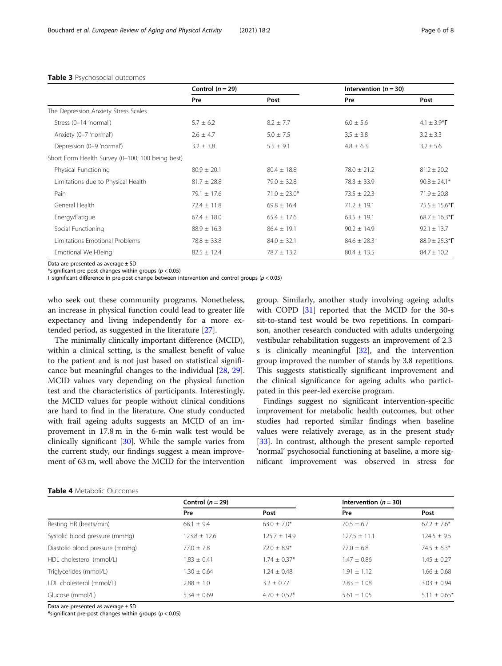|                                                  | Control $(n = 29)$ |                  | Intervention ( $n = 30$ ) |                                                       |
|--------------------------------------------------|--------------------|------------------|---------------------------|-------------------------------------------------------|
|                                                  | Pre                | Post             | Pre                       | Post                                                  |
| The Depression Anxiety Stress Scales             |                    |                  |                           |                                                       |
| Stress (0-14 'normal')                           | $5.7 \pm 6.2$      | $8.2 \pm 7.7$    | $6.0 \pm 5.6$             | 4.1 $\pm$ 3.9 <sup>*</sup> <b><math>\Gamma</math></b> |
| Anxiety (0-7 'normal')                           | $2.6 \pm 4.7$      | $5.0 \pm 7.5$    | $3.5 \pm 3.8$             | $3.2 \pm 3.3$                                         |
| Depression (0-9 'normal')                        | $3.2 \pm 3.8$      | $5.5 \pm 9.1$    | $4.8 \pm 6.3$             | $3.2 \pm 5.6$                                         |
| Short Form Health Survey (0-100; 100 being best) |                    |                  |                           |                                                       |
| Physical Functioning                             | $80.9 \pm 20.1$    | $80.4 \pm 18.8$  | $78.0 \pm 21.2$           | $81.2 \pm 20.2$                                       |
| Limitations due to Physical Health               | $81.7 \pm 28.8$    | $79.0 \pm 32.8$  | $78.3 \pm 33.9$           | $90.8 \pm 24.1*$                                      |
| Pain                                             | $79.1 \pm 17.6$    | $71.0 \pm 23.0*$ | $73.5 \pm 22.3$           | $71.9 \pm 20.8$                                       |
| General Health                                   | $72.4 \pm 11.8$    | $69.8 \pm 16.4$  | $71.2 \pm 19.1$           | $75.5 \pm 15.6*$                                      |
| Energy/Fatigue                                   | $67.4 \pm 18.0$    | $65.4 \pm 17.6$  | $63.5 \pm 19.1$           | 68.7 ± 16.3* $\Gamma$                                 |
| Social Functioning                               | $88.9 \pm 16.3$    | $86.4 \pm 19.1$  | $90.2 \pm 14.9$           | $92.1 \pm 13.7$                                       |
| Limitations Emotional Problems                   | $78.8 \pm 33.8$    | $84.0 \pm 32.1$  | $84.6 \pm 28.3$           | $88.9 \pm 25.3*$                                      |
| Emotional Well-Being                             | $82.5 \pm 12.4$    | $78.7 \pm 13.2$  | $80.4 \pm 13.5$           | $84.7 \pm 10.2$                                       |

#### <span id="page-5-0"></span>Table 3 Psychosocial outcomes

Data are presented as average  $\pm$  SD

\*significant pre-post changes within groups ( $p < 0.05$ )

Γ significant difference in pre-post change between intervention and control groups (p < 0.05)

who seek out these community programs. Nonetheless, an increase in physical function could lead to greater life expectancy and living independently for a more extended period, as suggested in the literature [\[27](#page-7-0)].

The minimally clinically important difference (MCID), within a clinical setting, is the smallest benefit of value to the patient and is not just based on statistical significance but meaningful changes to the individual [\[28,](#page-7-0) [29](#page-7-0)]. MCID values vary depending on the physical function test and the characteristics of participants. Interestingly, the MCID values for people without clinical conditions are hard to find in the literature. One study conducted with frail ageing adults suggests an MCID of an improvement in 17.8 m in the 6-min walk test would be clinically significant [[30](#page-7-0)]. While the sample varies from the current study, our findings suggest a mean improvement of 63 m, well above the MCID for the intervention

group. Similarly, another study involving ageing adults with COPD [[31\]](#page-7-0) reported that the MCID for the 30-s sit-to-stand test would be two repetitions. In comparison, another research conducted with adults undergoing vestibular rehabilitation suggests an improvement of 2.3 s is clinically meaningful [[32\]](#page-7-0), and the intervention group improved the number of stands by 3.8 repetitions. This suggests statistically significant improvement and the clinical significance for ageing adults who participated in this peer-led exercise program.

Findings suggest no significant intervention-specific improvement for metabolic health outcomes, but other studies had reported similar findings when baseline values were relatively average, as in the present study [[33\]](#page-7-0). In contrast, although the present sample reported 'normal' psychosocial functioning at baseline, a more significant improvement was observed in stress for

|                                 | Control $(n = 29)$ |                | Intervention ( $n = 30$ ) |                              |
|---------------------------------|--------------------|----------------|---------------------------|------------------------------|
|                                 | Pre                | Post           | Pre                       | Post                         |
| Resting HR (beats/min)          | $68.1 + 9.4$       | $63.0 + 7.0*$  | $70.5 + 6.7$              | $67.2 \pm 7.6*$              |
| Systolic blood pressure (mmHg)  | $123.8 \pm 12.6$   | $125.7 + 14.9$ | $127.5 \pm 11.1$          | $124.5 \pm 9.5$              |
| Diastolic blood pressure (mmHg) | $77.0 + 7.8$       | $72.0 + 8.9*$  | $77.0 + 6.8$              | $74.5 + 6.3*$                |
| HDL cholesterol (mmol/L)        | $1.83 \pm 0.41$    | $1.74 + 0.37*$ | $1.47 + 0.86$             | $1.45 \pm 0.27$              |
| Triglycerides (mmol/L)          | $.30 \pm 0.64$     | $1.24 + 0.48$  | $1.91 + 1.12$             | $1.66 \pm 0.68$              |
| LDL cholesterol (mmol/L)        | $7.88 + 1.0$       | $3.2 + 0.77$   | $2.83 + 1.08$             | $3.03 \pm 0.94$              |
| Glucose (mmol/L)                | $5.34 + 0.69$      | $4.70 + 0.52*$ | $5.61 \pm 1.05$           | $5.11 \pm 0.65$ <sup>*</sup> |

Table 4 Metabolic Outcomes

Data are presented as average ± SD

\*significant pre-post changes within groups ( $p < 0.05$ )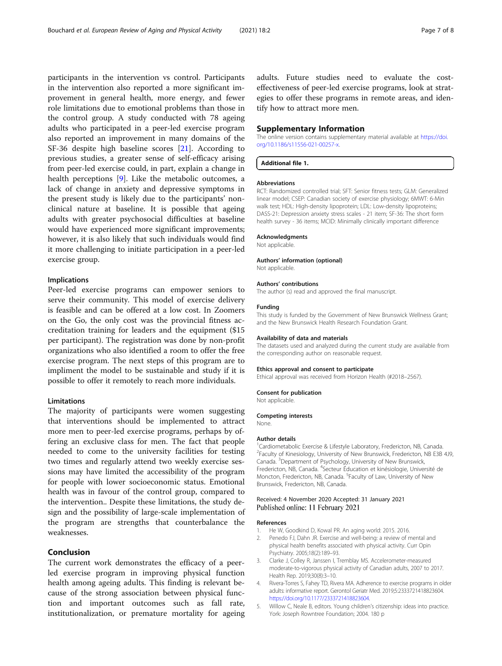<span id="page-6-0"></span>participants in the intervention vs control. Participants in the intervention also reported a more significant improvement in general health, more energy, and fewer role limitations due to emotional problems than those in the control group. A study conducted with 78 ageing adults who participated in a peer-led exercise program also reported an improvement in many domains of the SF-36 despite high baseline scores [\[21\]](#page-7-0). According to previous studies, a greater sense of self-efficacy arising from peer-led exercise could, in part, explain a change in health perceptions [\[9](#page-7-0)]. Like the metabolic outcomes, a lack of change in anxiety and depressive symptoms in the present study is likely due to the participants' nonclinical nature at baseline. It is possible that ageing adults with greater psychosocial difficulties at baseline would have experienced more significant improvements; however, it is also likely that such individuals would find it more challenging to initiate participation in a peer-led exercise group.

## Implications

Peer-led exercise programs can empower seniors to serve their community. This model of exercise delivery is feasible and can be offered at a low cost. In Zoomers on the Go, the only cost was the provincial fitness accreditation training for leaders and the equipment (\$15 per participant). The registration was done by non-profit organizations who also identified a room to offer the free exercise program. The next steps of this program are to impliment the model to be sustainable and study if it is possible to offer it remotely to reach more individuals.

## Limitations

The majority of participants were women suggesting that interventions should be implemented to attract more men to peer-led exercise programs, perhaps by offering an exclusive class for men. The fact that people needed to come to the university facilities for testing two times and regularly attend two weekly exercise sessions may have limited the accessibility of the program for people with lower socioeconomic status. Emotional health was in favour of the control group, compared to the intervention.. Despite these limitations, the study design and the possibility of large-scale implementation of the program are strengths that counterbalance the weaknesses.

## Conclusion

The current work demonstrates the efficacy of a peerled exercise program in improving physical function health among ageing adults. This finding is relevant because of the strong association between physical function and important outcomes such as fall rate, institutionalization, or premature mortality for ageing adults. Future studies need to evaluate the costeffectiveness of peer-led exercise programs, look at strategies to offer these programs in remote areas, and identify how to attract more men.

#### Supplementary Information

The online version contains supplementary material available at [https://doi.](https://doi.org/10.1186/s11556-021-00257-x) [org/10.1186/s11556-021-00257-x](https://doi.org/10.1186/s11556-021-00257-x).

#### Additional file 1.

#### Abbreviations

RCT: Randomized controlled trial; SFT: Senior fitness tests; GLM: Generalized linear model; CSEP: Canadian society of exercise physiology; 6MWT: 6-Min walk test; HDL: High-density lipoprotein; LDL: Low-density lipoproteins; DASS-21: Depression anxiety stress scales - 21 item; SF-36: The short form health survey - 36 items; MCID: Minimally clinically important difference

#### Acknowledgments

Not applicable.

### Authors' information (optional)

Not applicable.

## Authors' contributions

The author (s) read and approved the final manuscript.

#### Funding

This study is funded by the Government of New Brunswick Wellness Grant; and the New Brunswick Health Research Foundation Grant.

#### Availability of data and materials

The datasets used and analyzed during the current study are available from the corresponding author on reasonable request.

#### Ethics approval and consent to participate

Ethical approval was received from Horizon Health (#2018–2567).

#### Consent for publication

Not applicable.

## Competing interests None.

#### Author details

<sup>1</sup>Cardiometabolic Exercise & Lifestyle Laboratory, Fredericton, NB, Canada <sup>2</sup> Faculty of Kinesiology, University of New Brunswick, Fredericton, NB E3B 4J9 Canada. <sup>3</sup> Department of Psychology, University of New Brunswick, Fredericton, NB, Canada. <sup>4</sup>Secteur Éducation et kinésiologie, Université de Moncton, Fredericton, NB, Canada. <sup>5</sup> Faculty of Law, University of New Brunswick, Fredericton, NB, Canada.

## Received: 4 November 2020 Accepted: 31 January 2021 Published online: 11 February 2021

#### References

- He W, Goodkind D, Kowal PR. An aging world: 2015. 2016.
- 2. Penedo FJ, Dahn JR. Exercise and well-being: a review of mental and physical health benefits associated with physical activity. Curr Opin Psychiatry. 2005;18(2):189–93.
- 3. Clarke J, Colley R, Janssen I, Tremblay MS. Accelerometer-measured moderate-to-vigorous physical activity of Canadian adults, 2007 to 2017. Health Rep. 2019;30(8):3–10.
- 4. Rivera-Torres S, Fahey TD, Rivera MA. Adherence to exercise programs in older adults: informative report. Gerontol Geriatr Med. 2019;5:2333721418823604. [https://doi.org/10.1177/2333721418823604.](https://doi.org/10.1177/2333721418823604)
- 5. Willow C, Neale B, editors. Young children's citizenship: ideas into practice. York: Joseph Rowntree Foundation; 2004. 180 p